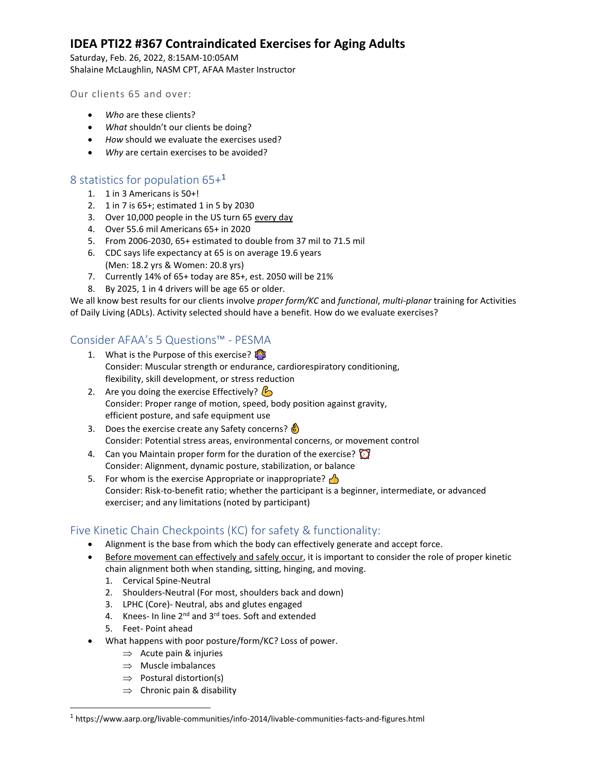# **IDEA PTI22 #367 Contraindicated Exercises for Aging Adults**

Saturday, Feb. 26, 2022, 8:15AM-10:05AM Shalaine McLaughlin, NASM CPT, AFAA Master Instructor

Our clients 65 and over:

- *Who* are these clients?
- *What* shouldn't our clients be doing?
- *How* should we evaluate the exercises used?
- *Why* are certain exercises to be avoided?

# 8 statistics for population 65+<sup>1</sup>

- 1. 1 in 3 Americans is 50+!
- 2. 1 in 7 is 65+; estimated 1 in 5 by 2030
- 3. Over 10,000 people in the US turn 65 every day
- 4. Over 55.6 mil Americans 65+ in 2020
- 5. From 2006-2030, 65+ estimated to double from 37 mil to 71.5 mil
- 6. CDC says life expectancy at 65 is on average 19.6 years (Men: 18.2 yrs & Women: 20.8 yrs)
- 7. Currently 14% of 65+ today are 85+, est. 2050 will be 21%
- 8. By 2025, 1 in 4 drivers will be age 65 or older.

We all know best results for our clients involve *proper form/KC* and *functional*, *multi-planar* training for Activities of Daily Living (ADLs). Activity selected should have a benefit. How do we evaluate exercises?

# Consider AFAA's 5 Questions™ - PESMA

- 1. What is the Purpose of this exercise? Consider: Muscular strength or endurance, cardiorespiratory conditioning, flexibility, skill development, or stress reduction
- 2. Are you doing the exercise Effectively?  $\mathcal{L}_2$ Consider: Proper range of motion, speed, body position against gravity, efficient posture, and safe equipment use
- 3. Does the exercise create any Safety concerns? Consider: Potential stress areas, environmental concerns, or movement control
- 4. Can you Maintain proper form for the duration of the exercise? Consider: Alignment, dynamic posture, stabilization, or balance
- 5. For whom is the exercise Appropriate or inappropriate?  $\triangle$ Consider: Risk-to-benefit ratio; whether the participant is a beginner, intermediate, or advanced exerciser; and any limitations (noted by participant)

# Five Kinetic Chain Checkpoints (KC) for safety & functionality:

- Alignment is the base from which the body can effectively generate and accept force.
- Before movement can effectively and safely occur, it is important to consider the role of proper kinetic chain alignment both when standing, sitting, hinging, and moving.
	- 1. Cervical Spine-Neutral
	- 2. Shoulders-Neutral (For most, shoulders back and down)
	- 3. LPHC (Core)- Neutral, abs and glutes engaged
	- 4. Knees- In line 2<sup>nd</sup> and 3<sup>rd</sup> toes. Soft and extended
	- 5. Feet- Point ahead
	- What happens with poor posture/form/KC? Loss of power.
		- $\Rightarrow$  Acute pain & injuries
		- $\Rightarrow$  Muscle imbalances
		- $\Rightarrow$  Postural distortion(s)
		- $\Rightarrow$  Chronic pain & disability

<sup>1</sup> https://www.aarp.org/livable-communities/info-2014/livable-communities-facts-and-figures.html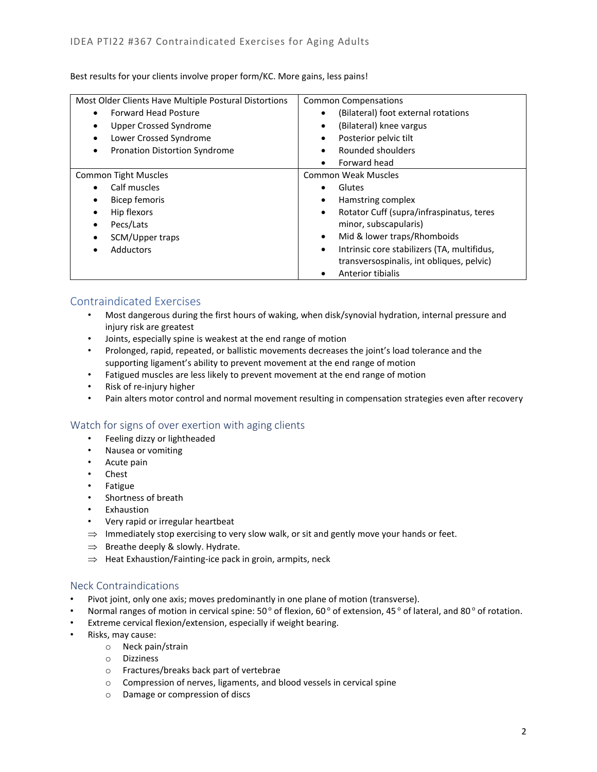Best results for your clients involve proper form/KC. More gains, less pains!

| Most Older Clients Have Multiple Postural Distortions | <b>Common Compensations</b>                              |
|-------------------------------------------------------|----------------------------------------------------------|
| <b>Forward Head Posture</b>                           | (Bilateral) foot external rotations<br>$\bullet$         |
| <b>Upper Crossed Syndrome</b>                         | (Bilateral) knee vargus<br>٠                             |
| Lower Crossed Syndrome                                | Posterior pelvic tilt<br>$\bullet$                       |
| <b>Pronation Distortion Syndrome</b><br>٠             | Rounded shoulders<br>$\bullet$                           |
|                                                       | Forward head<br>$\bullet$                                |
| <b>Common Tight Muscles</b>                           | Common Weak Muscles                                      |
| Calf muscles                                          | Glutes<br>$\bullet$                                      |
| Bicep femoris                                         | Hamstring complex<br>$\bullet$                           |
| Hip flexors                                           | Rotator Cuff (supra/infraspinatus, teres<br>$\bullet$    |
| Pecs/Lats<br>٠                                        | minor, subscapularis)                                    |
| SCM/Upper traps                                       | Mid & lower traps/Rhomboids<br>$\bullet$                 |
| <b>Adductors</b>                                      | Intrinsic core stabilizers (TA, multifidus,<br>$\bullet$ |
|                                                       | transversospinalis, int obliques, pelvic)                |
|                                                       | Anterior tibialis<br>$\bullet$                           |

# Contraindicated Exercises

- Most dangerous during the first hours of waking, when disk/synovial hydration, internal pressure and injury risk are greatest
- Joints, especially spine is weakest at the end range of motion
- Prolonged, rapid, repeated, or ballistic movements decreases the joint's load tolerance and the supporting ligament's ability to prevent movement at the end range of motion
- Fatigued muscles are less likely to prevent movement at the end range of motion
- Risk of re-injury higher
- Pain alters motor control and normal movement resulting in compensation strategies even after recovery

## Watch for signs of over exertion with aging clients

- Feeling dizzy or lightheaded
- Nausea or vomiting
- Acute pain
- Chest
- Fatigue
- Shortness of breath
- Exhaustion
- Very rapid or irregular heartbeat
- $\Rightarrow$  Immediately stop exercising to very slow walk, or sit and gently move your hands or feet.
- $\Rightarrow$  Breathe deeply & slowly. Hydrate.
- $\Rightarrow$  Heat Exhaustion/Fainting-ice pack in groin, armpits, neck

### Neck Contraindications

- Pivot joint, only one axis; moves predominantly in one plane of motion (transverse).
- Normal ranges of motion in cervical spine:  $50^{\circ}$  of flexion,  $60^{\circ}$  of extension,  $45^{\circ}$  of lateral, and  $80^{\circ}$  of rotation.
- Extreme cervical flexion/extension, especially if weight bearing.
- Risks, may cause:
	- o Neck pain/strain
	- o Dizziness
	- o Fractures/breaks back part of vertebrae
	- o Compression of nerves, ligaments, and blood vessels in cervical spine
	- o Damage or compression of discs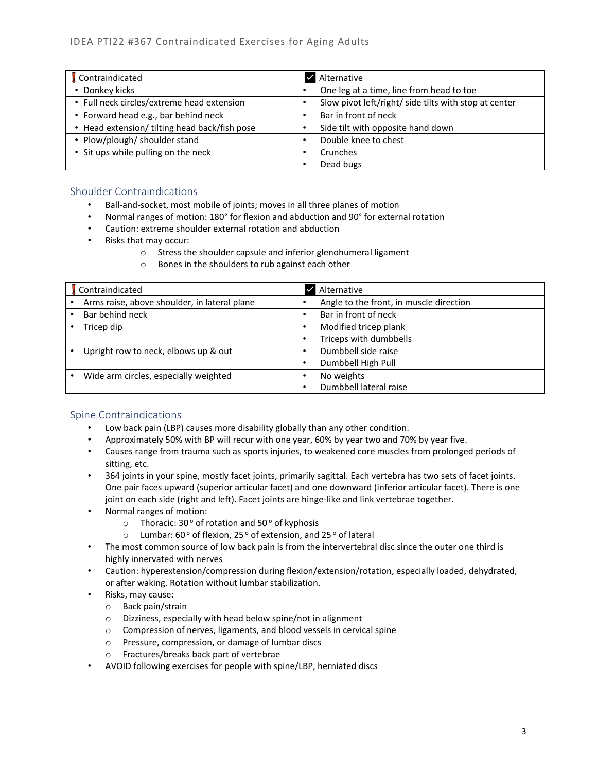| Contraindicated                             | Alternative                                           |
|---------------------------------------------|-------------------------------------------------------|
| • Donkey kicks                              | One leg at a time, line from head to toe              |
| • Full neck circles/extreme head extension  | Slow pivot left/right/ side tilts with stop at center |
| • Forward head e.g., bar behind neck        | Bar in front of neck                                  |
| Head extension/ tilting head back/fish pose | Side tilt with opposite hand down                     |
| • Plow/plough/ shoulder stand               | Double knee to chest                                  |
| • Sit ups while pulling on the neck         | Crunches                                              |
|                                             | Dead bugs<br>٠                                        |

# Shoulder Contraindications

- Ball-and-socket, most mobile of joints; moves in all three planes of motion
- Normal ranges of motion: 180° for flexion and abduction and 90° for external rotation
- Caution: extreme shoulder external rotation and abduction
- Risks that may occur:
	- o Stress the shoulder capsule and inferior glenohumeral ligament
		- o Bones in the shoulders to rub against each other

| Contraindicated                              | Alternative                             |
|----------------------------------------------|-----------------------------------------|
| Arms raise, above shoulder, in lateral plane | Angle to the front, in muscle direction |
| Bar behind neck                              | Bar in front of neck                    |
| Tricep dip                                   | Modified tricep plank                   |
|                                              | Triceps with dumbbells                  |
| Upright row to neck, elbows up & out         | Dumbbell side raise                     |
|                                              | Dumbbell High Pull                      |
| Wide arm circles, especially weighted        | No weights                              |
|                                              | Dumbbell lateral raise                  |

## Spine Contraindications

- Low back pain (LBP) causes more disability globally than any other condition.
- Approximately 50% with BP will recur with one year, 60% by year two and 70% by year five.
- Causes range from trauma such as sports injuries, to weakened core muscles from prolonged periods of sitting, etc.
- 364 joints in your spine, mostly facet joints, primarily sagittal. Each vertebra has two sets of facet joints. One pair faces upward (superior articular facet) and one downward (inferior articular facet). There is one joint on each side (right and left). Facet joints are hinge-like and link vertebrae together.
- Normal ranges of motion:
	- $\circ$  Thoracic: 30° of rotation and 50° of kyphosis
	- $\circ$  Lumbar: 60 $\circ$  of flexion, 25 $\circ$  of extension, and 25 $\circ$  of lateral
- The most common source of low back pain is from the intervertebral disc since the outer one third is highly innervated with nerves
- Caution: hyperextension/compression during flexion/extension/rotation, especially loaded, dehydrated, or after waking. Rotation without lumbar stabilization.
- Risks, may cause:
	- o Back pain/strain
	- o Dizziness, especially with head below spine/not in alignment
	- o Compression of nerves, ligaments, and blood vessels in cervical spine
	- o Pressure, compression, or damage of lumbar discs
	- o Fractures/breaks back part of vertebrae
- AVOID following exercises for people with spine/LBP, herniated discs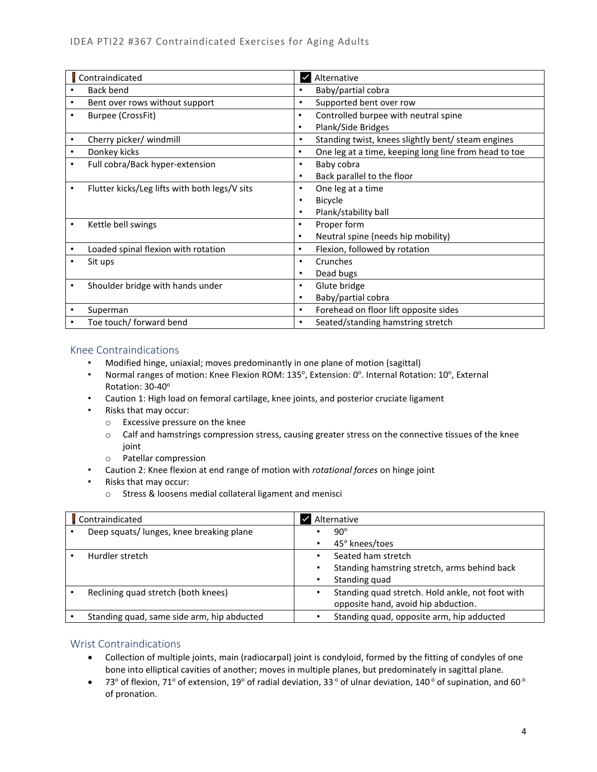|           | Contraindicated                               |           | Alternative                                           |
|-----------|-----------------------------------------------|-----------|-------------------------------------------------------|
|           | Back bend                                     |           | Baby/partial cobra                                    |
|           | Bent over rows without support                | ٠         | Supported bent over row                               |
|           | Burpee (CrossFit)                             | $\bullet$ | Controlled burpee with neutral spine                  |
|           |                                               | $\bullet$ | Plank/Side Bridges                                    |
| ٠         | Cherry picker/ windmill                       | ٠         | Standing twist, knees slightly bent/ steam engines    |
| $\bullet$ | Donkey kicks                                  | $\bullet$ | One leg at a time, keeping long line from head to toe |
| ٠         | Full cobra/Back hyper-extension               | ٠         | Baby cobra                                            |
|           |                                               | ٠         | Back parallel to the floor                            |
| ٠         | Flutter kicks/Leg lifts with both legs/V sits | ٠         | One leg at a time                                     |
|           |                                               |           | <b>Bicycle</b>                                        |
|           |                                               |           | Plank/stability ball                                  |
|           | Kettle bell swings                            | ٠         | Proper form                                           |
|           |                                               | $\bullet$ | Neutral spine (needs hip mobility)                    |
|           | Loaded spinal flexion with rotation           | $\bullet$ | Flexion, followed by rotation                         |
|           | Sit ups                                       |           | Crunches                                              |
|           |                                               | ٠         | Dead bugs                                             |
|           | Shoulder bridge with hands under              | ٠         | Glute bridge                                          |
|           |                                               |           | Baby/partial cobra                                    |
|           | Superman                                      | $\bullet$ | Forehead on floor lift opposite sides                 |
|           | Toe touch/ forward bend                       | $\bullet$ | Seated/standing hamstring stretch                     |

## Knee Contraindications

- Modified hinge, uniaxial; moves predominantly in one plane of motion (sagittal)
- Normal ranges of motion: Knee Flexion ROM: 135°, Extension: 0°. Internal Rotation: 10°, External Rotation: 30-40°
- Caution 1: High load on femoral cartilage, knee joints, and posterior cruciate ligament
- Risks that may occur:
	- o Excessive pressure on the knee
	- $\circ$  Calf and hamstrings compression stress, causing greater stress on the connective tissues of the knee joint
	- o Patellar compression
- Caution 2: Knee flexion at end range of motion with *rotational forces* on hinge joint
- Risks that may occur:
	- o Stress & loosens medial collateral ligament and menisci

| Contraindicated                            | Alternative                                                                             |
|--------------------------------------------|-----------------------------------------------------------------------------------------|
| Deep squats/ lunges, knee breaking plane   | $90^\circ$<br>45° knees/toes                                                            |
| Hurdler stretch                            | Seated ham stretch<br>Standing hamstring stretch, arms behind back<br>Standing quad     |
| Reclining quad stretch (both knees)        | Standing quad stretch. Hold ankle, not foot with<br>opposite hand, avoid hip abduction. |
| Standing quad, same side arm, hip abducted | Standing quad, opposite arm, hip adducted                                               |

## Wrist Contraindications

- Collection of multiple joints, main (radiocarpal) joint is condyloid, formed by the fitting of condyles of one bone into elliptical cavities of another; moves in multiple planes, but predominately in sagittal plane.
- 73° of flexion, 71° of extension, 19° of radial deviation, 33° of ulnar deviation, 140° of supination, and 60° of pronation.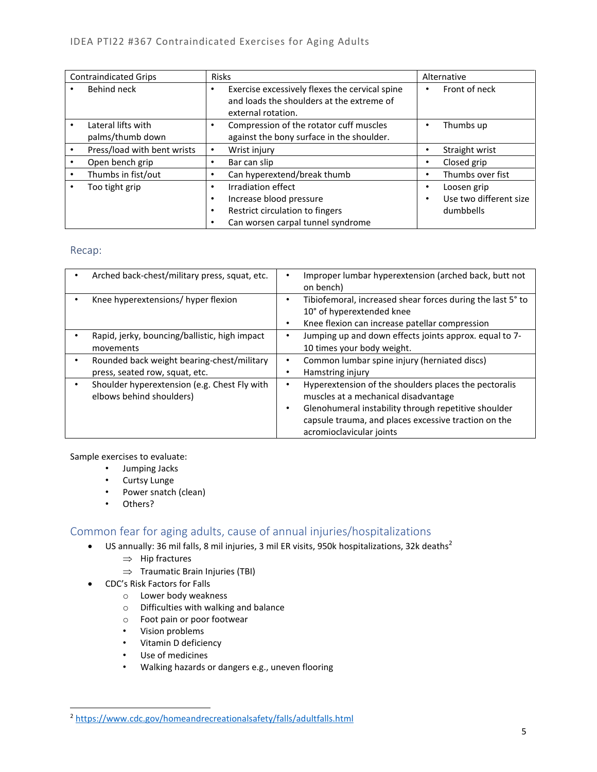| <b>Contraindicated Grips</b>           | <b>Risks</b>                                                                                                                                         |   | Alternative                                        |
|----------------------------------------|------------------------------------------------------------------------------------------------------------------------------------------------------|---|----------------------------------------------------|
| Behind neck                            | Exercise excessively flexes the cervical spine<br>٠<br>and loads the shoulders at the extreme of<br>external rotation.                               | ٠ | Front of neck                                      |
| Lateral lifts with<br>palms/thumb down | Compression of the rotator cuff muscles<br>$\bullet$<br>against the bony surface in the shoulder.                                                    | ٠ | Thumbs up                                          |
| Press/load with bent wrists            | Wrist injury<br>$\bullet$                                                                                                                            |   | Straight wrist                                     |
| Open bench grip                        | Bar can slip<br>٠                                                                                                                                    | ٠ | Closed grip                                        |
| Thumbs in fist/out                     | Can hyperextend/break thumb<br>٠                                                                                                                     | ٠ | Thumbs over fist                                   |
| Too tight grip                         | Irradiation effect<br>٠<br>Increase blood pressure<br>$\bullet$<br>Restrict circulation to fingers<br>$\bullet$<br>Can worsen carpal tunnel syndrome | ٠ | Loosen grip<br>Use two different size<br>dumbbells |

### Recap:

| Arched back-chest/military press, squat, etc.                                | Improper lumbar hyperextension (arched back, butt not<br>on bench)                                                                                                                                                                             |
|------------------------------------------------------------------------------|------------------------------------------------------------------------------------------------------------------------------------------------------------------------------------------------------------------------------------------------|
| Knee hyperextensions/ hyper flexion                                          | Tibiofemoral, increased shear forces during the last 5° to<br>10° of hyperextended knee<br>Knee flexion can increase patellar compression                                                                                                      |
| Rapid, jerky, bouncing/ballistic, high impact<br>movements                   | Jumping up and down effects joints approx. equal to 7-<br>٠<br>10 times your body weight.                                                                                                                                                      |
| Rounded back weight bearing-chest/military<br>press, seated row, squat, etc. | Common lumbar spine injury (herniated discs)<br>٠<br>Hamstring injury                                                                                                                                                                          |
| Shoulder hyperextension (e.g. Chest Fly with<br>elbows behind shoulders)     | Hyperextension of the shoulders places the pectoralis<br>muscles at a mechanical disadvantage<br>Glenohumeral instability through repetitive shoulder<br>٠<br>capsule trauma, and places excessive traction on the<br>acromioclavicular joints |

Sample exercises to evaluate:

- Jumping Jacks
- Curtsy Lunge
- Power snatch (clean)
- Others?

# Common fear for aging adults, cause of annual injuries/hospitalizations

- US annually: 36 mil falls, 8 mil injuries, 3 mil ER visits, 950k hospitalizations, 32k deaths<sup>2</sup>
	- $\Rightarrow$  Hip fractures
	- $\Rightarrow$  Traumatic Brain Injuries (TBI)
- CDC's Risk Factors for Falls
	- o Lower body weakness
	- o Difficulties with walking and balance
	- o Foot pain or poor footwear
	- Vision problems
	- Vitamin D deficiency
	- Use of medicines
	- Walking hazards or dangers e.g., uneven flooring

<sup>2</sup> <https://www.cdc.gov/homeandrecreationalsafety/falls/adultfalls.html>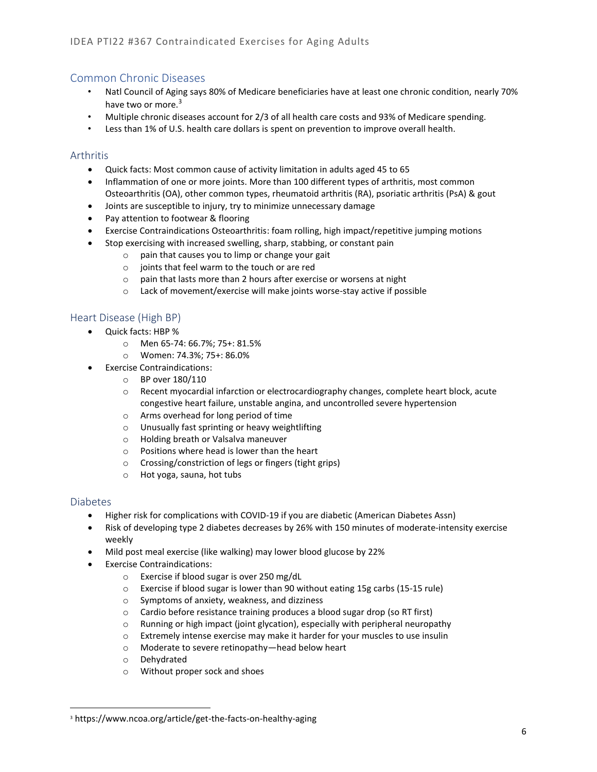# Common Chronic Diseases

- Natl Council of Aging says 80% of Medicare beneficiaries have at least one chronic condition, nearly 70% have two or more.<sup>3</sup>
- Multiple chronic diseases account for 2/3 of all health care costs and 93% of Medicare spending.
- Less than 1% of U.S. health care dollars is spent on prevention to improve overall health.

## Arthritis

- Quick facts: Most common cause of activity limitation in adults aged 45 to 65
- Inflammation of one or more joints. More than 100 different types of arthritis, most common Osteoarthritis (OA), other common types, rheumatoid arthritis (RA), psoriatic arthritis (PsA) & gout
- Joints are susceptible to injury, try to minimize unnecessary damage
- Pay attention to footwear & flooring
- Exercise Contraindications Osteoarthritis: foam rolling, high impact/repetitive jumping motions
- Stop exercising with increased swelling, sharp, stabbing, or constant pain
	- o pain that causes you to limp or change your gait
	- o joints that feel warm to the touch or are red
	- o pain that lasts more than 2 hours after exercise or worsens at night
	- o Lack of movement/exercise will make joints worse-stay active if possible

## Heart Disease (High BP)

- Quick facts: HBP %
	- o Men 65-74: 66.7%; 75+: 81.5%
	- o Women: 74.3%; 75+: 86.0%
- Exercise Contraindications:
	- o BP over 180/110
		- o Recent myocardial infarction or electrocardiography changes, complete heart block, acute congestive heart failure, unstable angina, and uncontrolled severe hypertension
		- o Arms overhead for long period of time
	- o Unusually fast sprinting or heavy weightlifting
	- o Holding breath or Valsalva maneuver
	- o Positions where head is lower than the heart
	- o Crossing/constriction of legs or fingers (tight grips)
	- o Hot yoga, sauna, hot tubs

## Diabetes

- Higher risk for complications with COVID-19 if you are diabetic (American Diabetes Assn)
- Risk of developing type 2 diabetes decreases by 26% with 150 minutes of moderate-intensity exercise weekly
- Mild post meal exercise (like walking) may lower blood glucose by 22%
- Exercise Contraindications:
	- o Exercise if blood sugar is over 250 mg/dL
	- $\circ$  Exercise if blood sugar is lower than 90 without eating 15g carbs (15-15 rule)
	- o Symptoms of anxiety, weakness, and dizziness
	- o Cardio before resistance training produces a blood sugar drop (so RT first)
	- o Running or high impact (joint glycation), especially with peripheral neuropathy
	- o Extremely intense exercise may make it harder for your muscles to use insulin
	- o Moderate to severe retinopathy—head below heart
	- o Dehydrated
	- o Without proper sock and shoes

<sup>3</sup> https://www.ncoa.org/article/get-the-facts-on-healthy-aging